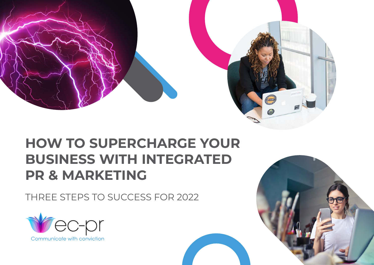



# **HOW TO SUPERCHARGE YOUR BUSINESS WITH INTEGRATED PR & MARKETING**

THREE STEPS TO SUCCESS FOR 2022



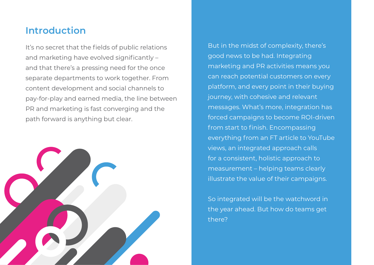### **Introduction**

It's no secret that the fields of public relations and marketing have evolved significantly – and that there's a pressing need for the once separate departments to work together. From content development and social channels to pay-for-play and earned media, the line between PR and marketing is fast converging and the path forward is anything but clear.



But in the midst of complexity, there's good news to be had. Integrating marketing and PR activities means you can reach potential customers on every platform, and every point in their buying journey, with cohesive and relevant messages. What's more, integration has forced campaigns to become ROI-driven from start to finish. Encompassing everything from an FT article to YouTube views, an integrated approach calls for a consistent, holistic approach to measurement – helping teams clearly illustrate the value of their campaigns.

So integrated will be the watchword in the year ahead. But how do teams get there?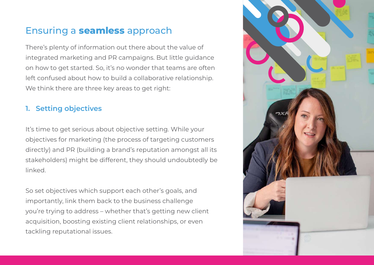## Ensuring a **seamless** approach

There's plenty of information out there about the value of integrated marketing and PR campaigns. But little guidance on how to get started. So, it's no wonder that teams are often left confused about how to build a collaborative relationship. We think there are three key areas to get right:

#### **1. Setting objectives**

It's time to get serious about objective setting. While your objectives for marketing (the process of targeting customers directly) and PR (building a brand's reputation amongst all its stakeholders) might be different, they should undoubtedly be linked.

So set objectives which support each other's goals, and importantly, link them back to the business challenge you're trying to address – whether that's getting new client acquisition, boosting existing client relationships, or even tackling reputational issues.

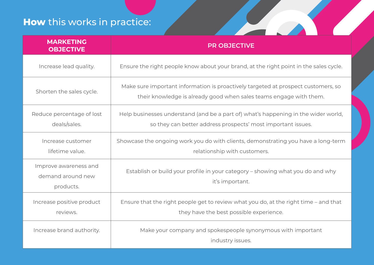# **How** this works in practice:

| <b>MARKETING</b><br><b>OBJECTIVE</b>                    | <b>PR OBJECTIVE</b>                                                                                                                                     |
|---------------------------------------------------------|---------------------------------------------------------------------------------------------------------------------------------------------------------|
| Increase lead quality.                                  | Ensure the right people know about your brand, at the right point in the sales cycle.                                                                   |
| Shorten the sales cycle.                                | Make sure important information is proactively targeted at prospect customers, so<br>their knowledge is already good when sales teams engage with them. |
| Reduce percentage of lost<br>deals/sales.               | Help businesses understand (and be a part of) what's happening in the wider world,<br>so they can better address prospects' most important issues.      |
| Increase customer<br>lifetime value.                    | Showcase the ongoing work you do with clients, demonstrating you have a long-term<br>relationship with customers.                                       |
| Improve awareness and<br>demand around new<br>products. | Establish or build your profile in your category - showing what you do and why<br>it's important.                                                       |
| Increase positive product<br>reviews.                   | Ensure that the right people get to review what you do, at the right time - and that<br>they have the best possible experience.                         |
| Increase brand authority.                               | Make your company and spokespeople synonymous with important<br>industry issues.                                                                        |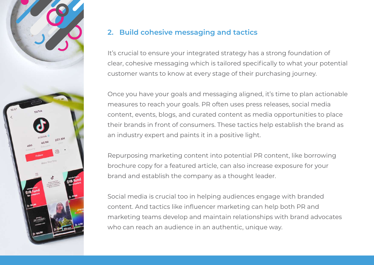

#### **2. Build cohesive messaging and tactics**

It's crucial to ensure your integrated strategy has a strong foundation of clear, cohesive messaging which is tailored specifically to what your potential customer wants to know at every stage of their purchasing journey.

Once you have your goals and messaging aligned, it's time to plan actionable measures to reach your goals. PR often uses press releases, social media content, events, blogs, and curated content as media opportunities to place their brands in front of consumers. These tactics help establish the brand as an industry expert and paints it in a positive light.

Repurposing marketing content into potential PR content, like borrowing brochure copy for a featured article, can also increase exposure for your brand and establish the company as a thought leader.

Social media is crucial too in helping audiences engage with branded content. And tactics like influencer marketing can help both PR and marketing teams develop and maintain relationships with brand advocates who can reach an audience in an authentic, unique way.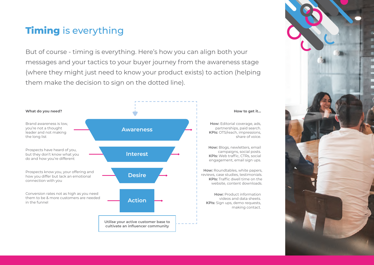# **Timing** is everything

But of course - timing is everything. Here's how you can align both your messages and your tactics to your buyer journey from the awareness stage (where they might just need to know your product exists) to action (helping them make the decision to sign on the dotted line).



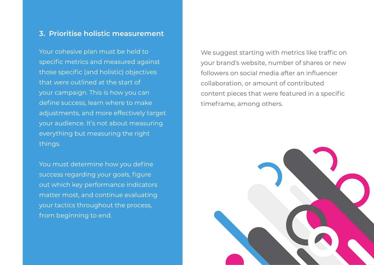#### **3. Prioritise holistic measurement**

Your cohesive plan must be held to specific metrics and measured against those specific (and holistic) objectives that were outlined at the start of your campaign. This is how you can define success, learn where to make adjustments, and more effectively target your audience. It's not about measuring everything but measuring the right things.

You must determine how you define success regarding your goals, figure out which key performance indicators matter most, and continue evaluating your tactics throughout the process, from beginning to end.

We suggest starting with metrics like traffic on your brand's website, number of shares or new followers on social media after an influencer collaboration, or amount of contributed content pieces that were featured in a specific timeframe, among others.

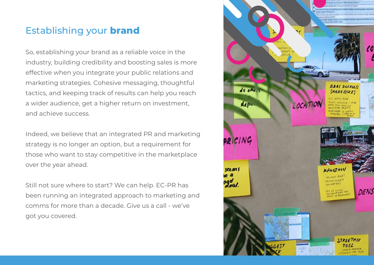### Establishing your **brand**

So, establishing your brand as a reliable voice in the industry, building credibility and boosting sales is more effective when you integrate your public relations and marketing strategies. Cohesive messaging, thoughtful tactics, and keeping track of results can help you reach a wider audience, get a higher return on investment, and achieve success.

Indeed, we believe that an integrated PR and marketing strategy is no longer an option, but a requirement for those who want to stay competitive in the marketplace over the year ahead.

Still not sure where to start? We can help. EC-PR has been running an integrated approach to marketing and comms for more than a decade. Give us a call - we've got you covered.